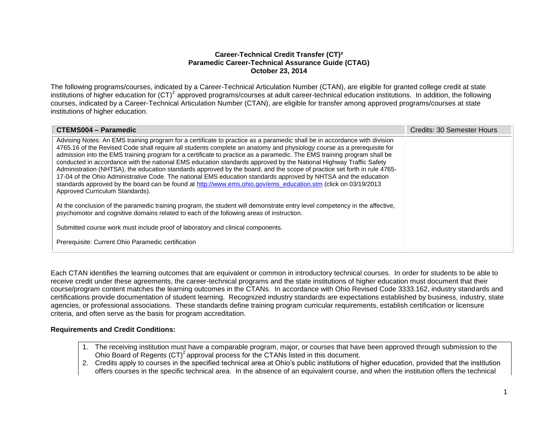### **Career-Technical Credit Transfer (CT)² Paramedic Career-Technical Assurance Guide (CTAG) October 23, 2014**

The following programs/courses, indicated by a Career-Technical Articulation Number (CTAN), are eligible for granted college credit at state institutions of higher education for  $(CT)^2$  approved programs/courses at adult career-technical education institutions. In addition, the following courses, indicated by a Career-Technical Articulation Number (CTAN), are eligible for transfer among approved programs/courses at state institutions of higher education.

| CTEMS004 - Paramedic                                                                                                                                                                                                                                                                                                                                                                                                                                                                                                                                                                                                                                                                                                                                                                                                                                                                                    | Credits: 30 Semester Hours |
|---------------------------------------------------------------------------------------------------------------------------------------------------------------------------------------------------------------------------------------------------------------------------------------------------------------------------------------------------------------------------------------------------------------------------------------------------------------------------------------------------------------------------------------------------------------------------------------------------------------------------------------------------------------------------------------------------------------------------------------------------------------------------------------------------------------------------------------------------------------------------------------------------------|----------------------------|
| Advising Notes: An EMS training program for a certificate to practice as a paramedic shall be in accordance with division<br>4765.16 of the Revised Code shall require all students complete an anatomy and physiology course as a prerequisite for<br>admission into the EMS training program for a certificate to practice as a paramedic. The EMS training program shall be<br>conducted in accordance with the national EMS education standards approved by the National Highway Traffic Safety<br>Administration (NHTSA), the education standards approved by the board, and the scope of practice set forth in rule 4765-<br>17-04 of the Ohio Administrative Code. The national EMS education standards approved by NHTSA and the education<br>standards approved by the board can be found at http://www.ems.ohio.gov/ems_education.stm (click on 03/19/2013<br>Approved Curriculum Standards). |                            |
| At the conclusion of the paramedic training program, the student will demonstrate entry level competency in the affective,<br>psychomotor and cognitive domains related to each of the following areas of instruction.                                                                                                                                                                                                                                                                                                                                                                                                                                                                                                                                                                                                                                                                                  |                            |
| Submitted course work must include proof of laboratory and clinical components.                                                                                                                                                                                                                                                                                                                                                                                                                                                                                                                                                                                                                                                                                                                                                                                                                         |                            |
| Prerequisite: Current Ohio Paramedic certification                                                                                                                                                                                                                                                                                                                                                                                                                                                                                                                                                                                                                                                                                                                                                                                                                                                      |                            |

Each CTAN identifies the learning outcomes that are equivalent or common in introductory technical courses. In order for students to be able to receive credit under these agreements, the career-technical programs and the state institutions of higher education must document that their course/program content matches the learning outcomes in the CTANs. In accordance with Ohio Revised Code 3333.162, industry standards and certifications provide documentation of student learning. Recognized industry standards are expectations established by business, industry, state agencies, or professional associations. These standards define training program curricular requirements, establish certification or licensure criteria, and often serve as the basis for program accreditation.

### **Requirements and Credit Conditions:**

- 1. The receiving institution must have a comparable program, major, or courses that have been approved through submission to the Ohio Board of Regents  $(CT)^2$  approval process for the CTANs listed in this document.
- 2. Credits apply to courses in the specified technical area at Ohio's public institutions of higher education, provided that the institution offers courses in the specific technical area. In the absence of an equivalent course, and when the institution offers the technical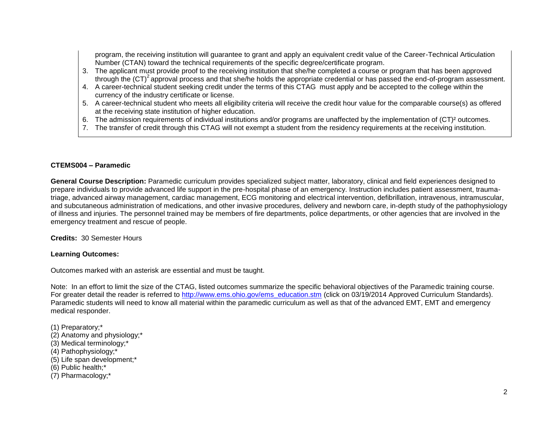program, the receiving institution will guarantee to grant and apply an equivalent credit value of the Career-Technical Articulation Number (CTAN) toward the technical requirements of the specific degree/certificate program.

- 3. The applicant must provide proof to the receiving institution that she/he completed a course or program that has been approved through the  $(CT)^2$  approval process and that she/he holds the appropriate credential or has passed the end-of-program assessment.
- 4. A career-technical student seeking credit under the terms of this CTAG must apply and be accepted to the college within the currency of the industry certificate or license.
- 5. A career-technical student who meets all eligibility criteria will receive the credit hour value for the comparable course(s) as offered at the receiving state institution of higher education.
- 6. The admission requirements of individual institutions and/or programs are unaffected by the implementation of (CT)² outcomes.
- 7. The transfer of credit through this CTAG will not exempt a student from the residency requirements at the receiving institution.

# **CTEMS004 – Paramedic**

**General Course Description:** Paramedic curriculum provides specialized subject matter, laboratory, clinical and field experiences designed to prepare individuals to provide advanced life support in the pre-hospital phase of an emergency. Instruction includes patient assessment, traumatriage, advanced airway management, cardiac management, ECG monitoring and electrical intervention, defibrillation, intravenous, intramuscular, and subcutaneous administration of medications, and other invasive procedures, delivery and newborn care, in-depth study of the pathophysiology of illness and injuries. The personnel trained may be members of fire departments, police departments, or other agencies that are involved in the emergency treatment and rescue of people.

**Credits:** 30 Semester Hours

# **Learning Outcomes:**

Outcomes marked with an asterisk are essential and must be taught.

Note: In an effort to limit the size of the CTAG, listed outcomes summarize the specific behavioral objectives of the Paramedic training course. For greater detail the reader is referred to [http://www.ems.ohio.gov/ems\\_education.stm](http://www.ems.ohio.gov/ems_education.stm) (click on 03/19/2014 Approved Curriculum Standards). Paramedic students will need to know all material within the paramedic curriculum as well as that of the advanced EMT, EMT and emergency medical responder.

- (1) Preparatory;\*
- (2) Anatomy and physiology;\*
- (3) Medical terminology;\*
- (4) Pathophysiology;\*
- (5) Life span development;\*
- (6) Public health;\*
- (7) Pharmacology;\*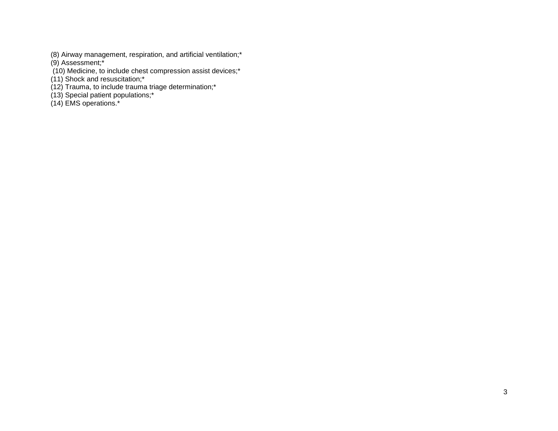(8) Airway management, respiration, and artificial ventilation;\*

(9) Assessment;\*

(10) Medicine, to include chest compression assist devices;\*

(11) Shock and resuscitation;\*

(12) Trauma, to include trauma triage determination;\*

(13) Special patient populations;\*

(14) EMS operations.\*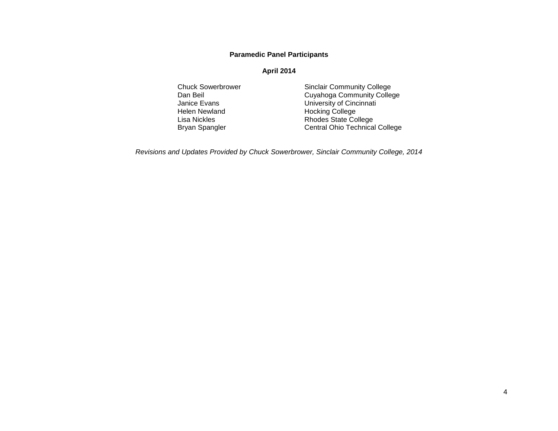## **Paramedic Panel Participants**

#### **April 2014**

Helen Newland Hocking College<br>
Lisa Nickles Contract Contract Report Rhodes State Co

Chuck Sowerbrower Sinclair Community College<br>
Dan Beil Community College<br>
Cuyahoga Community College Dan Beil Cuyahoga Community College<br>
Janice Evans Cuyahoga Community College University of Cincinnati Lisa Nickles **Rhodes** State College Bryan Spangler **Central Ohio Technical College** 

*Revisions and Updates Provided by Chuck Sowerbrower, Sinclair Community College, 2014*